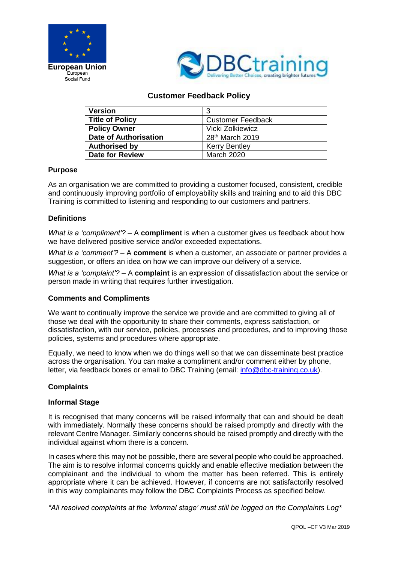



# **Customer Feedback Policy**

| <b>Version</b>               | 3                           |
|------------------------------|-----------------------------|
| <b>Title of Policy</b>       | <b>Customer Feedback</b>    |
| <b>Policy Owner</b>          | Vicki Zolkiewicz            |
| <b>Date of Authorisation</b> | 28 <sup>th</sup> March 2019 |
| <b>Authorised by</b>         | <b>Kerry Bentley</b>        |
| <b>Date for Review</b>       | <b>March 2020</b>           |

### **Purpose**

As an organisation we are committed to providing a customer focused, consistent, credible and continuously improving portfolio of employability skills and training and to aid this DBC Training is committed to listening and responding to our customers and partners.

## **Definitions**

*What is a 'compliment'?* – A **compliment** is when a customer gives us feedback about how we have delivered positive service and/or exceeded expectations.

*What is a 'comment'?* – A **comment** is when a customer, an associate or partner provides a suggestion, or offers an idea on how we can improve our delivery of a service.

*What is a 'complaint'?* – A **complaint** is an expression of dissatisfaction about the service or person made in writing that requires further investigation.

### **Comments and Compliments**

We want to continually improve the service we provide and are committed to giving all of those we deal with the opportunity to share their comments, express satisfaction, or dissatisfaction, with our service, policies, processes and procedures, and to improving those policies, systems and procedures where appropriate.

Equally, we need to know when we do things well so that we can disseminate best practice across the organisation. You can make a compliment and/or comment either by phone, letter, via feedback boxes or email to DBC Training (email: [info@dbc-training.co.uk\)](mailto:info@dbc-training.co.uk).

### **Complaints**

### **Informal Stage**

It is recognised that many concerns will be raised informally that can and should be dealt with immediately. Normally these concerns should be raised promptly and directly with the relevant Centre Manager. Similarly concerns should be raised promptly and directly with the individual against whom there is a concern.

In cases where this may not be possible, there are several people who could be approached. The aim is to resolve informal concerns quickly and enable effective mediation between the complainant and the individual to whom the matter has been referred. This is entirely appropriate where it can be achieved. However, if concerns are not satisfactorily resolved in this way complainants may follow the DBC Complaints Process as specified below.

*\*All resolved complaints at the 'informal stage' must still be logged on the Complaints Log\**